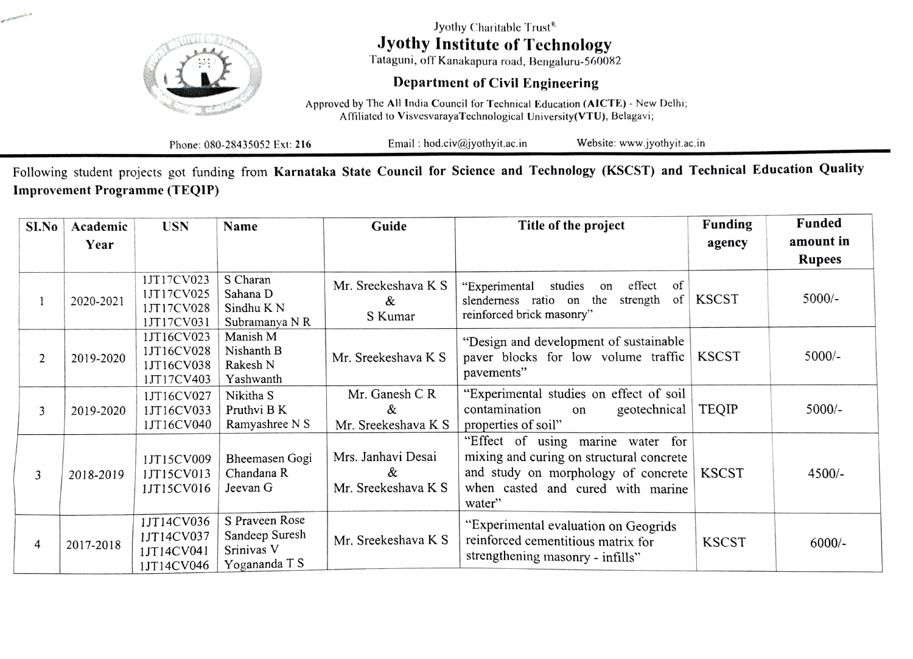

Jyothy Charitable Trust Jyothy Institute of Technology

Tataguni, off Kanakapura road, Bengaluru-560082

## Department of Civil Engineering

Approved by The All India Council for Technical Education (AICTE) - New Delhi; Afiliated to Visvesvaraya'Technological University(VTU), Belagavi,

Phone: 080-28435052 Ext: 216 Email: hod.civ@jyothyit.ac.in Website: www.jyothyit.ac.in

Following student projects got funding from Karnataka State Council for Science and Technology (KSCST) and Technical Education Quality Improvement Programme (TEQIP)

| SI.No          | Academic  | <b>USN</b>                                           | Name                                                            | Guide                                          | Title of the project                                                                                                                                                | Funding      | Funded        |
|----------------|-----------|------------------------------------------------------|-----------------------------------------------------------------|------------------------------------------------|---------------------------------------------------------------------------------------------------------------------------------------------------------------------|--------------|---------------|
|                | Year      |                                                      |                                                                 |                                                |                                                                                                                                                                     | agency       | amount in     |
|                |           |                                                      |                                                                 |                                                |                                                                                                                                                                     |              | <b>Rupees</b> |
|                | 2020-2021 | 1JT17CV023<br>1JT17CV025<br>1JT17CV028<br>1JT17CV031 | S Charan<br>Sahana D<br>Sindhu K N<br>Subramanya N R            | Mr. Sreekeshava K S<br>&<br>S Kumar            | effect<br>"Experimental<br>studies<br>of<br>on<br>of<br>slenderness ratio on the<br>strength<br>reinforced brick masonry"                                           | <b>KSCST</b> | $5000/-$      |
| $\overline{2}$ | 2019-2020 | 1JT16CV023<br>1JT16CV028<br>1JT16CV038<br>1JT17CV403 | Manish M<br>Nishanth B<br>Rakesh N<br>Yashwanth                 | Mr. Sreekeshava K S                            | "Design and development of sustainable<br>paver blocks for low volume traffic<br>pavements"                                                                         | <b>KSCST</b> | $5000/-$      |
| 3              | 2019-2020 | 1JT16CV027<br>1JT16CV033<br>1JT16CV040               | Nikitha S<br>Pruthvi B K<br>Ramyashree N S                      | Mr. Ganesh C R<br>&<br>Mr. Sreekeshava K S     | "Experimental studies on effect of soil<br>contamination<br>geotechnical<br>on<br>properties of soil"                                                               | <b>TEQIP</b> | $5000/-$      |
| 3              | 2018-2019 | 1JT15CV009<br>1JT15CV013<br>1JT15CV016               | Bheemasen Gogi<br>Chandana R<br>Jeevan G                        | Mrs. Janhavi Desai<br>&<br>Mr. Sreekeshava K S | "Effect of using marine water for<br>mixing and curing on structural concrete<br>and study on morphology of concrete<br>when casted and cured with marine<br>water" | <b>KSCST</b> | $4500/-$      |
| 4              | 2017-2018 | 1JT14CV036<br>1JT14CV037<br>1JT14CV041<br>1JT14CV046 | S Praveen Rose<br>Sandeep Suresh<br>Srinivas V<br>Yogananda T S | Mr. Sreekeshava K S                            | "Experimental evaluation on Geogrids<br>reinforced cementitious matrix for<br>strengthening masonry - infills"                                                      | <b>KSCST</b> | $6000/-$      |